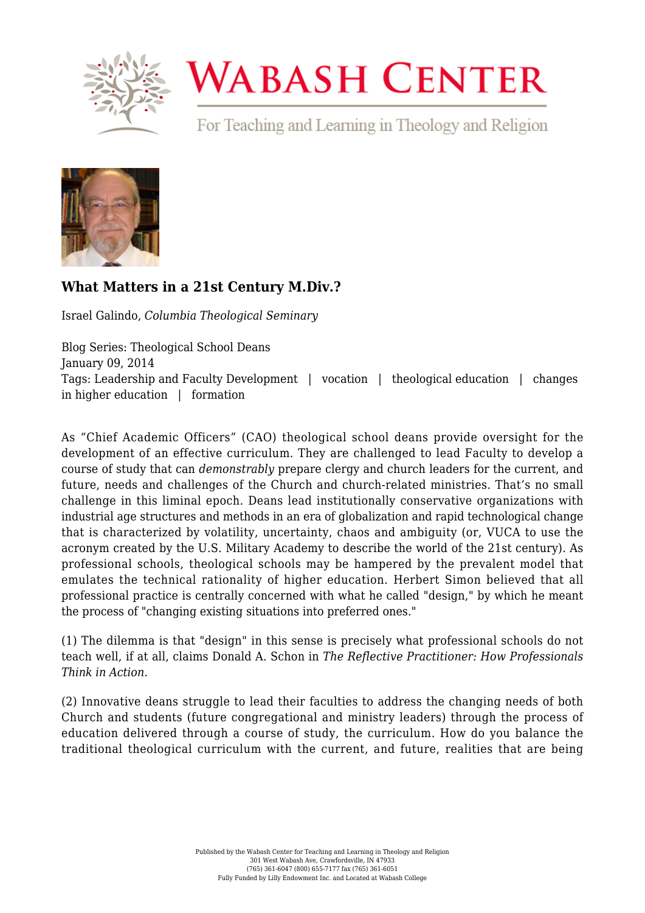

## **WABASH CENTER**

For Teaching and Learning in Theology and Religion



## **[What Matters in a 21st Century M.Div.?](https://www.wabashcenter.wabash.edu/2014/01/what-matters-in-a-21st-century-m-div/)**

Israel Galindo, *Columbia Theological Seminary*

Blog Series: Theological School Deans January 09, 2014 Tags: Leadership and Faculty Development | vocation | theological education | changes in higher education | formation

As "Chief Academic Officers" (CAO) theological school deans provide oversight for the development of an effective curriculum. They are challenged to lead Faculty to develop a course of study that can *demonstrably* prepare clergy and church leaders for the current, and future, needs and challenges of the Church and church-related ministries. That's no small challenge in this liminal epoch. Deans lead institutionally conservative organizations with industrial age structures and methods in an era of globalization and rapid technological change that is characterized by volatility, uncertainty, chaos and ambiguity (or, VUCA to use the acronym created by the U.S. Military Academy to describe the world of the 21st century). As professional schools, theological schools may be hampered by the prevalent model that emulates the technical rationality of higher education. Herbert Simon believed that all professional practice is centrally concerned with what he called "design," by which he meant the process of "changing existing situations into preferred ones."

(1) The dilemma is that "design" in this sense is precisely what professional schools do not teach well, if at all, claims Donald A. Schon in *The Reflective Practitioner: How Professionals Think in Action*.

(2) Innovative deans struggle to lead their faculties to address the changing needs of both Church and students (future congregational and ministry leaders) through the process of education delivered through a course of study, the curriculum. How do you balance the traditional theological curriculum with the current, and future, realities that are being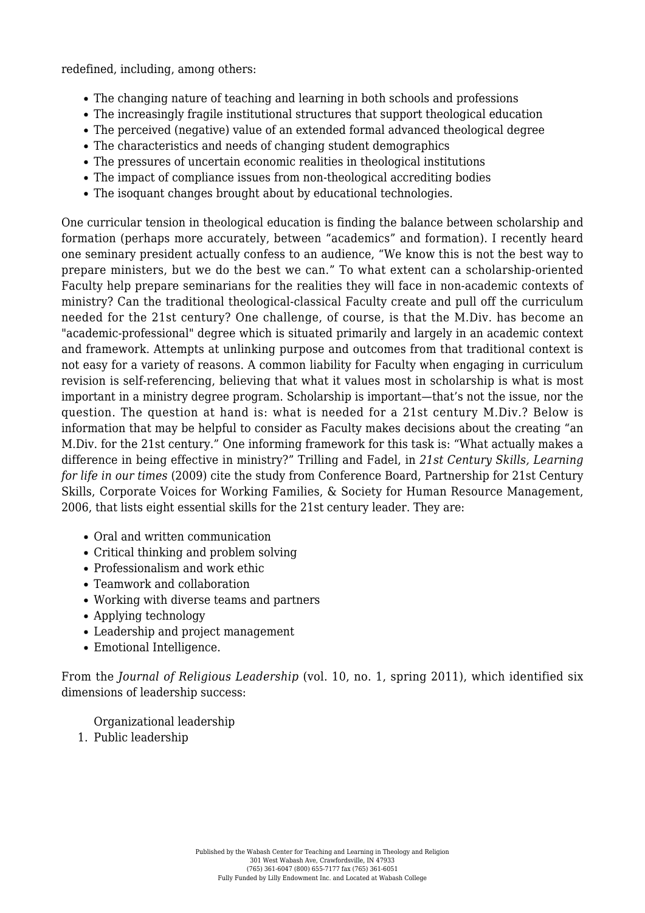redefined, including, among others:

- The changing nature of teaching and learning in both schools and professions
- The increasingly fragile institutional structures that support theological education
- The perceived (negative) value of an extended formal advanced theological degree
- The characteristics and needs of changing student demographics
- The pressures of uncertain economic realities in theological institutions
- The impact of compliance issues from non-theological accrediting bodies
- The isoquant changes brought about by educational technologies.

One curricular tension in theological education is finding the balance between scholarship and formation (perhaps more accurately, between "academics" and formation). I recently heard one seminary president actually confess to an audience, "We know this is not the best way to prepare ministers, but we do the best we can." To what extent can a scholarship-oriented Faculty help prepare seminarians for the realities they will face in non-academic contexts of ministry? Can the traditional theological-classical Faculty create and pull off the curriculum needed for the 21st century? One challenge, of course, is that the M.Div. has become an "academic-professional" degree which is situated primarily and largely in an academic context and framework. Attempts at unlinking purpose and outcomes from that traditional context is not easy for a variety of reasons. A common liability for Faculty when engaging in curriculum revision is self-referencing, believing that what it values most in scholarship is what is most important in a ministry degree program. Scholarship is important—that's not the issue, nor the question. The question at hand is: what is needed for a 21st century M.Div.? Below is information that may be helpful to consider as Faculty makes decisions about the creating "an M.Div. for the 21st century." One informing framework for this task is: "What actually makes a difference in being effective in ministry?" Trilling and Fadel, in *21st Century Skills, Learning for life in our times* (2009) cite the study from Conference Board, Partnership for 21st Century Skills, Corporate Voices for Working Families, & Society for Human Resource Management, 2006, that lists eight essential skills for the 21st century leader. They are:

- Oral and written communication
- Critical thinking and problem solving
- Professionalism and work ethic
- Teamwork and collaboration
- Working with diverse teams and partners
- Applying technology
- Leadership and project management
- Emotional Intelligence.

From the *Journal of Religious Leadership* (vol. 10, no. 1, spring 2011), which identified six dimensions of leadership success:

Organizational leadership

1. Public leadership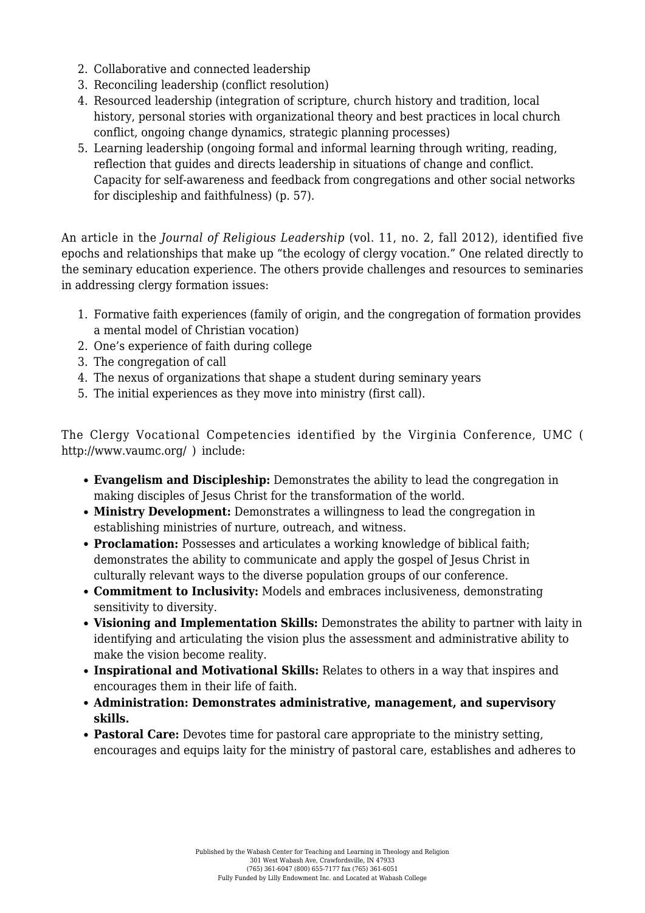- 2. Collaborative and connected leadership
- 3. Reconciling leadership (conflict resolution)
- 4. Resourced leadership (integration of scripture, church history and tradition, local history, personal stories with organizational theory and best practices in local church conflict, ongoing change dynamics, strategic planning processes)
- 5. Learning leadership (ongoing formal and informal learning through writing, reading, reflection that guides and directs leadership in situations of change and conflict. Capacity for self-awareness and feedback from congregations and other social networks for discipleship and faithfulness) (p. 57).

An article in the *Journal of Religious Leadership* (vol. 11, no. 2, fall 2012), identified five epochs and relationships that make up "the ecology of clergy vocation." One related directly to the seminary education experience. The others provide challenges and resources to seminaries in addressing clergy formation issues:

- 1. Formative faith experiences (family of origin, and the congregation of formation provides a mental model of Christian vocation)
- 2. One's experience of faith during college
- 3. The congregation of call
- 4. The nexus of organizations that shape a student during seminary years
- 5. The initial experiences as they move into ministry (first call).

The Clergy Vocational Competencies identified by the Virginia Conference, UMC ( http://www.vaumc.org/ ) include:

- **Evangelism and Discipleship:** Demonstrates the ability to lead the congregation in making disciples of Jesus Christ for the transformation of the world.
- **Ministry Development:** Demonstrates a willingness to lead the congregation in establishing ministries of nurture, outreach, and witness.
- **Proclamation:** Possesses and articulates a working knowledge of biblical faith; demonstrates the ability to communicate and apply the gospel of Jesus Christ in culturally relevant ways to the diverse population groups of our conference.
- **Commitment to Inclusivity:** Models and embraces inclusiveness, demonstrating sensitivity to diversity.
- **Visioning and Implementation Skills:** Demonstrates the ability to partner with laity in identifying and articulating the vision plus the assessment and administrative ability to make the vision become reality.
- **Inspirational and Motivational Skills:** Relates to others in a way that inspires and encourages them in their life of faith.
- **Administration: Demonstrates administrative, management, and supervisory skills.**
- **Pastoral Care:** Devotes time for pastoral care appropriate to the ministry setting, encourages and equips laity for the ministry of pastoral care, establishes and adheres to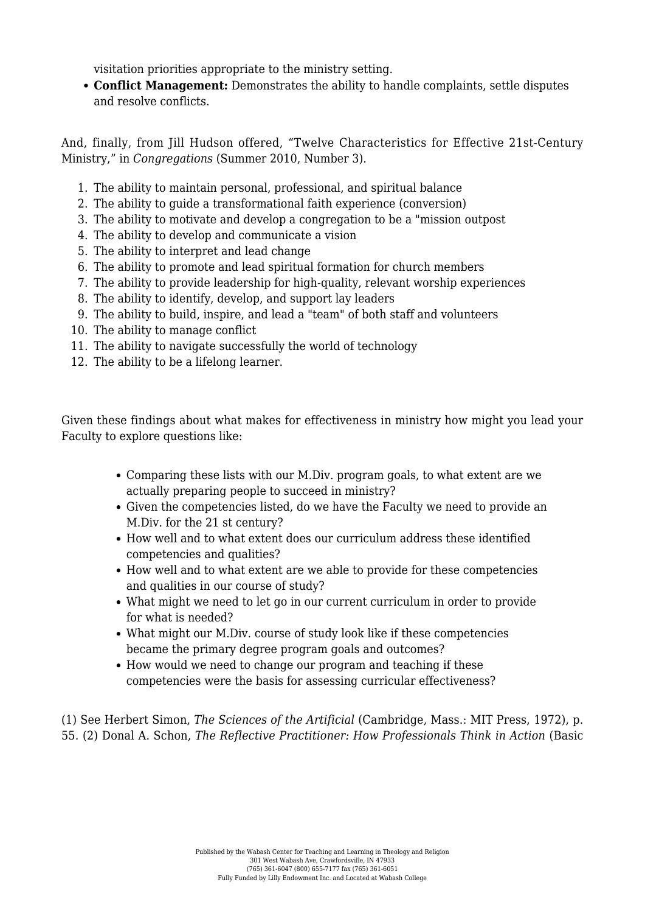visitation priorities appropriate to the ministry setting.

**Conflict Management:** Demonstrates the ability to handle complaints, settle disputes and resolve conflicts.

And, finally, from Jill Hudson offered, "Twelve Characteristics for Effective 21st-Century Ministry," in *Congregations* (Summer 2010, Number 3).

- 1. The ability to maintain personal, professional, and spiritual balance
- 2. The ability to guide a transformational faith experience (conversion)
- 3. The ability to motivate and develop a congregation to be a "mission outpost
- 4. The ability to develop and communicate a vision
- 5. The ability to interpret and lead change
- 6. The ability to promote and lead spiritual formation for church members
- 7. The ability to provide leadership for high-quality, relevant worship experiences
- 8. The ability to identify, develop, and support lay leaders
- 9. The ability to build, inspire, and lead a "team" of both staff and volunteers
- 10. The ability to manage conflict
- 11. The ability to navigate successfully the world of technology
- 12. The ability to be a lifelong learner.

Given these findings about what makes for effectiveness in ministry how might you lead your Faculty to explore questions like:

- Comparing these lists with our M.Div. program goals, to what extent are we actually preparing people to succeed in ministry?
- Given the competencies listed, do we have the Faculty we need to provide an M.Div. for the 21 st century?
- How well and to what extent does our curriculum address these identified competencies and qualities?
- How well and to what extent are we able to provide for these competencies and qualities in our course of study?
- What might we need to let go in our current curriculum in order to provide for what is needed?
- What might our M.Div. course of study look like if these competencies became the primary degree program goals and outcomes?
- How would we need to change our program and teaching if these competencies were the basis for assessing curricular effectiveness?

(1) See Herbert Simon, *The Sciences of the Artificial* (Cambridge, Mass.: MIT Press, 1972), p. 55. (2) Donal A. Schon, *The Reflective Practitioner: How Professionals Think in Action* (Basic